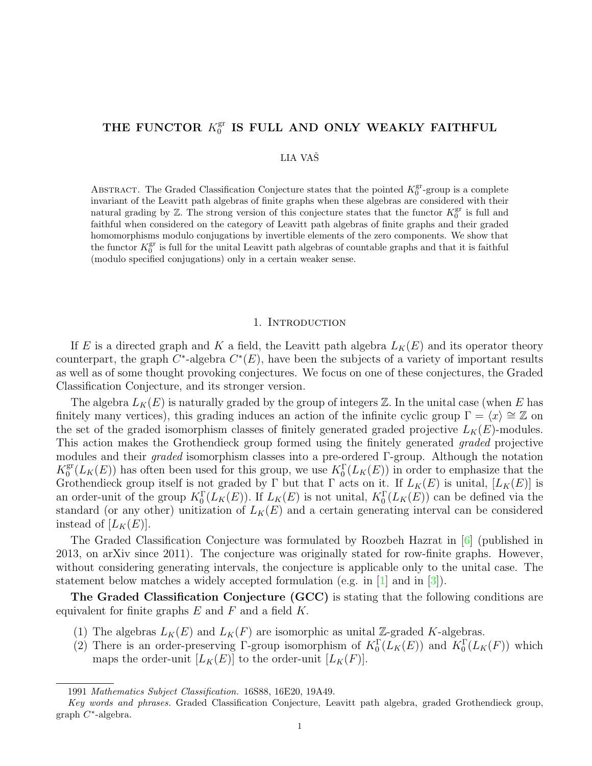#### <span id="page-0-0"></span>THE FUNCTOR  $K_0^{\text{gr}}$  $_0^{\rm gr}$  IS FULL AND ONLY WEAKLY FAITHFUL

# LIA VASˇ

ABSTRACT. The Graded Classification Conjecture states that the pointed  $K_0^{\text{gr}}$ -group is a complete invariant of the Leavitt path algebras of finite graphs when these algebras are considered with their natural grading by  $\mathbb{Z}$ . The strong version of this conjecture states that the functor  $K_0^{\text{gr}}$  is full and faithful when considered on the category of Leavitt path algebras of finite graphs and their graded homomorphisms modulo conjugations by invertible elements of the zero components. We show that the functor  $K_0^{\text{gr}}$  is full for the unital Leavitt path algebras of countable graphs and that it is faithful (modulo specified conjugations) only in a certain weaker sense.

#### 1. INTRODUCTION

If E is a directed graph and K a field, the Leavitt path algebra  $L_K(E)$  and its operator theory counterpart, the graph  $C^*$ -algebra  $C^*(E)$ , have been the subjects of a variety of important results as well as of some thought provoking conjectures. We focus on one of these conjectures, the Graded Classification Conjecture, and its stronger version.

The algebra  $L_K(E)$  is naturally graded by the group of integers  $\mathbb Z$ . In the unital case (when E has finitely many vertices), this grading induces an action of the infinite cyclic group  $\Gamma = \langle x \rangle \cong \mathbb{Z}$  on the set of the graded isomorphism classes of finitely generated graded projective  $L_K(E)$ -modules. This action makes the Grothendieck group formed using the finitely generated graded projective modules and their graded isomorphism classes into a pre-ordered Γ-group. Although the notation  $K_0^{\text{gr}}$  $\mathbb{S}_0^{\text{gr}}(L_K(E))$  has often been used for this group, we use  $K_0^{\Gamma}(L_K(E))$  in order to emphasize that the Grothendieck group itself is not graded by Γ but that Γ acts on it. If  $L_K(E)$  is unital,  $[L_K(E)]$  is an order-unit of the group  $K_0^{\Gamma}(L_K(E))$ . If  $L_K(E)$  is not unital,  $K_0^{\Gamma}(L_K(E))$  can be defined via the standard (or any other) unitization of  $L_K(E)$  and a certain generating interval can be considered instead of  $[L_K(E)].$ 

The Graded Classification Conjecture was formulated by Roozbeh Hazrat in [\[6\]](#page-11-0) (published in 2013, on arXiv since 2011). The conjecture was originally stated for row-finite graphs. However, without considering generating intervals, the conjecture is applicable only to the unital case. The statement below matches a widely accepted formulation (e.g. in [\[1\]](#page-11-1) and in [\[3\]](#page-11-2)).

The Graded Classification Conjecture (GCC) is stating that the following conditions are equivalent for finite graphs  $E$  and  $F$  and a field  $K$ .

- (1) The algebras  $L_K(E)$  and  $L_K(F)$  are isomorphic as unital Z-graded K-algebras.
- (2) There is an order-preserving Γ-group isomorphism of  $K_0^{\Gamma}(L_K(E))$  and  $K_0^{\Gamma}(L_K(F))$  which maps the order-unit  $[L_K(E)]$  to the order-unit  $[L_K(F)]$ .

<sup>1991</sup> Mathematics Subject Classification. 16S88, 16E20, 19A49.

Key words and phrases. Graded Classification Conjecture, Leavitt path algebra, graded Grothendieck group, graph C ∗ -algebra.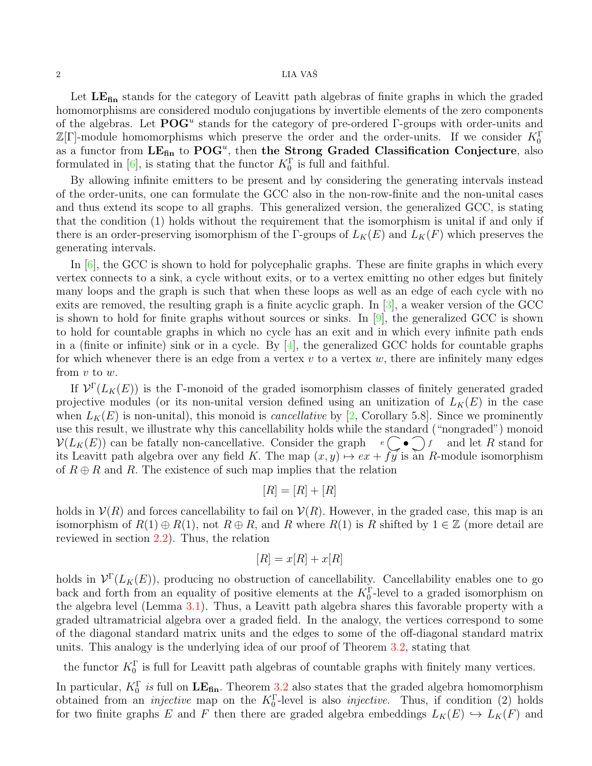# <span id="page-1-0"></span> $2\,$   $\,$  LIA VAŠ $\,$

Let  $LE<sub>fin</sub>$  stands for the category of Leavitt path algebras of finite graphs in which the graded homomorphisms are considered modulo conjugations by invertible elements of the zero components of the algebras. Let  $POG<sup>u</sup>$  stands for the category of pre-ordered  $\Gamma$ -groups with order-units and  $\mathbb{Z}[\Gamma]$ -module homomorphisms which preserve the order and the order-units. If we consider  $K_0^{\Gamma}$ as a functor from  $LE_{fin}$  to  $POG<sup>u</sup>$ , then the Strong Graded Classification Conjecture, also formulated in [\[6\]](#page-11-0), is stating that the functor  $K_0^{\Gamma}$  is full and faithful.

By allowing infinite emitters to be present and by considering the generating intervals instead of the order-units, one can formulate the GCC also in the non-row-finite and the non-unital cases and thus extend its scope to all graphs. This generalized version, the generalized GCC, is stating that the condition (1) holds without the requirement that the isomorphism is unital if and only if there is an order-preserving isomorphism of the Γ-groups of  $L_K(E)$  and  $L_K(F)$  which preserves the generating intervals.

In [\[6\]](#page-11-0), the GCC is shown to hold for polycephalic graphs. These are finite graphs in which every vertex connects to a sink, a cycle without exits, or to a vertex emitting no other edges but finitely many loops and the graph is such that when these loops as well as an edge of each cycle with no exits are removed, the resulting graph is a finite acyclic graph. In [\[3\]](#page-11-2), a weaker version of the GCC is shown to hold for finite graphs without sources or sinks. In [\[9\]](#page-11-3), the generalized GCC is shown to hold for countable graphs in which no cycle has an exit and in which every infinite path ends in a (finite or infinite) sink or in a cycle. By  $[4]$ , the generalized GCC holds for countable graphs for which whenever there is an edge from a vertex  $v$  to a vertex  $w$ , there are infinitely many edges from  $v$  to  $w$ .

If  $\mathcal{V}^{\Gamma}(L_K(E))$  is the Γ-monoid of the graded isomorphism classes of finitely generated graded projective modules (or its non-unital version defined using an unitization of  $L_K(E)$  in the case when  $L_K(E)$  is non-unital), this monoid is *cancellative* by [\[2,](#page-11-5) Corollary 5.8]. Since we prominently use this result, we illustrate why this cancellability holds while the standard ("nongraded") monoid  $\mathcal{V}(L_K(E))$  can be fatally non-cancellative. Consider the graph  $e \rightarrow f$  and let R stand for its Leavitt path algebra over any field K. The map  $(x, y) \mapsto ex + fy$  is an R-module isomorphism of  $R \oplus R$  and R. The existence of such map implies that the relation

$$
[R] = [R] + [R]
$$

holds in  $\mathcal{V}(R)$  and forces cancellability to fail on  $\mathcal{V}(R)$ . However, in the graded case, this map is an isomorphism of  $R(1) \oplus R(1)$ , not  $R \oplus R$ , and R where  $R(1)$  is R shifted by  $1 \in \mathbb{Z}$  (more detail are reviewed in section [2.2\)](#page-2-0). Thus, the relation

$$
[R] = x[R] + x[R]
$$

holds in  $\mathcal{V}^{\Gamma}(L_K(E))$ , producing no obstruction of cancellability. Cancellability enables one to go back and forth from an equality of positive elements at the  $K_0^{\Gamma}$ -level to a graded isomorphism on the algebra level (Lemma [3.1\)](#page-5-0). Thus, a Leavitt path algebra shares this favorable property with a graded ultramatricial algebra over a graded field. In the analogy, the vertices correspond to some of the diagonal standard matrix units and the edges to some of the off-diagonal standard matrix units. This analogy is the underlying idea of our proof of Theorem [3.2,](#page-5-1) stating that

the functor  $K_0^{\Gamma}$  is full for Leavitt path algebras of countable graphs with finitely many vertices.

In particular,  $K_0^{\Gamma}$  is full on  $LE_{fin}$ . Theorem [3.2](#page-5-1) also states that the graded algebra homomorphism obtained from an *injective* map on the  $K_0^{\Gamma}$ -level is also *injective*. Thus, if condition (2) holds for two finite graphs E and F then there are graded algebra embeddings  $L_K(E) \hookrightarrow L_K(F)$  and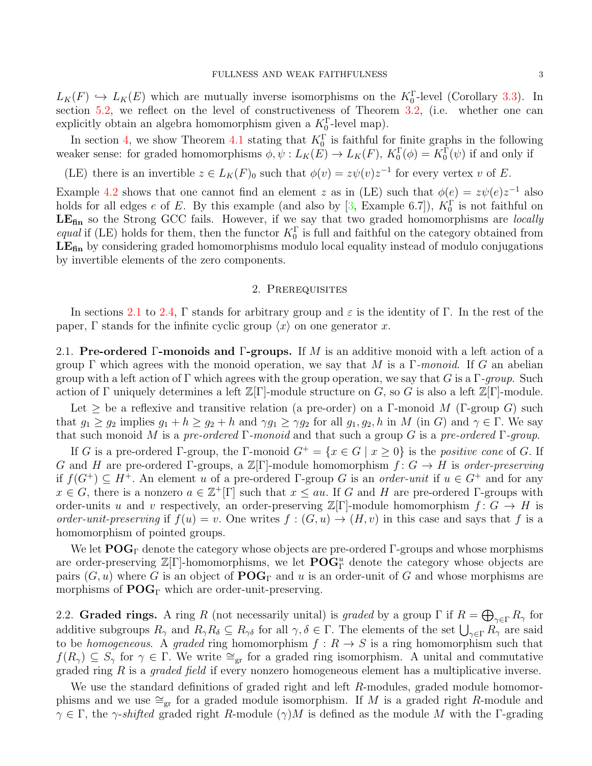<span id="page-2-2"></span> $L_K(F) \hookrightarrow L_K(E)$  which are mutually inverse isomorphisms on the  $K_0^{\Gamma}$ -level (Corollary [3.3\)](#page-7-0). In section [5.2,](#page-10-0) we reflect on the level of constructiveness of Theorem [3.2,](#page-5-1) (i.e. whether one can explicitly obtain an algebra homomorphism given a  $K_0^{\Gamma}$ -level map).

In section [4,](#page-7-1) we show Theorem [4.1](#page-7-2) stating that  $K_0^{\Gamma}$  is faithful for finite graphs in the following weaker sense: for graded homomorphisms  $\phi, \psi : L_K(E) \to L_K(F)$ ,  $K_0^{\Gamma}(\phi) = K_0^{\Gamma}(\psi)$  if and only if

(LE) there is an invertible  $z \in L_K(F)_0$  such that  $\phi(v) = z\psi(v)z^{-1}$  for every vertex v of E.

Example [4.2](#page-9-0) shows that one cannot find an element z as in (LE) such that  $\phi(e) = z\psi(e)z^{-1}$  also holds for all edges e of E. By this example (and also by  $[3, \text{Example 6.7}]\right)$ ,  $K_0^{\Gamma}$  is not faithful on LE<sub>fin</sub> so the Strong GCC fails. However, if we say that two graded homomorphisms are *locally equal* if (LE) holds for them, then the functor  $K_0^{\Gamma}$  is full and faithful on the category obtained from  $LE<sub>fin</sub>$  by considering graded homomorphisms modulo local equality instead of modulo conjugations by invertible elements of the zero components.

### 2. Prerequisites

In sections [2.1](#page-2-1) to [2.4,](#page-3-0) Γ stands for arbitrary group and  $\varepsilon$  is the identity of Γ. In the rest of the paper,  $\Gamma$  stands for the infinite cyclic group  $\langle x \rangle$  on one generator x.

<span id="page-2-1"></span>2.1. Pre-ordered Γ-monoids and Γ-groups. If M is an additive monoid with a left action of a group Γ which agrees with the monoid operation, we say that M is a Γ-monoid. If G an abelian group with a left action of Γ which agrees with the group operation, we say that G is a  $\Gamma$ -group. Such action of Γ uniquely determines a left  $\mathbb{Z}[\Gamma]$ -module structure on G, so G is also a left  $\mathbb{Z}[\Gamma]$ -module.

Let  $\geq$  be a reflexive and transitive relation (a pre-order) on a Γ-monoid M (Γ-group G) such that  $g_1 \ge g_2$  implies  $g_1 + h \ge g_2 + h$  and  $\gamma g_1 \ge \gamma g_2$  for all  $g_1, g_2, h$  in M (in G) and  $\gamma \in \Gamma$ . We say that such monoid M is a pre-ordered  $\Gamma$ -monoid and that such a group G is a pre-ordered  $\Gamma$ -group.

If G is a pre-ordered Γ-group, the Γ-monoid  $G^+ = \{x \in G \mid x \geq 0\}$  is the positive cone of G. If G and H are pre-ordered Γ-groups, a  $\mathbb{Z}[\Gamma]$ -module homomorphism  $f: G \to H$  is order-preserving if  $f(G^+) \subseteq H^+$ . An element u of a pre-ordered Γ-group G is an order-unit if  $u \in G^+$  and for any  $x \in G$ , there is a nonzero  $a \in \mathbb{Z}^+[\Gamma]$  such that  $x \le au$ . If G and H are pre-ordered  $\Gamma$ -groups with order-units u and v respectively, an order-preserving  $\mathbb{Z}[\Gamma]$ -module homomorphism  $f: G \to H$  is order-unit-preserving if  $f(u) = v$ . One writes  $f:(G, u) \to (H, v)$  in this case and says that f is a homomorphism of pointed groups.

We let  $\mathbf{POG}_\Gamma$  denote the category whose objects are pre-ordered Γ-groups and whose morphisms are order-preserving  $\mathbb{Z}[\Gamma]$ -homomorphisms, we let  $\mathbf{POG}_{\Gamma}^u$  denote the category whose objects are pairs  $(G, u)$  where G is an object of  $\mathbf{POG}_\Gamma$  and u is an order-unit of G and whose morphisms are morphisms of  $\mathbf{POG}_\Gamma$  which are order-unit-preserving.

<span id="page-2-0"></span>2.2. Graded rings. A ring R (not necessarily unital) is graded by a group  $\Gamma$  if  $R = \bigoplus_{\gamma \in \Gamma} R_{\gamma}$  for additive subgroups  $R_{\gamma}$  and  $R_{\gamma}R_{\delta} \subseteq R_{\gamma\delta}$  for all  $\gamma,\delta \in \Gamma$ . The elements of the set  $\bigcup_{\gamma\in\Gamma}R_{\gamma}$  are said to be homogeneous. A graded ring homomorphism  $f: R \to S$  is a ring homomorphism such that  $f(R_{\gamma}) \subseteq S_{\gamma}$  for  $\gamma \in \Gamma$ . We write  $\cong_{gr}$  for a graded ring isomorphism. A unital and commutative graded ring R is a *graded field* if every nonzero homogeneous element has a multiplicative inverse.

We use the standard definitions of graded right and left R-modules, graded module homomorphisms and we use  $\cong_{gr}$  for a graded module isomorphism. If M is a graded right R-module and  $\gamma \in \Gamma$ , the  $\gamma$ -shifted graded right R-module  $(\gamma)M$  is defined as the module M with the  $\Gamma$ -grading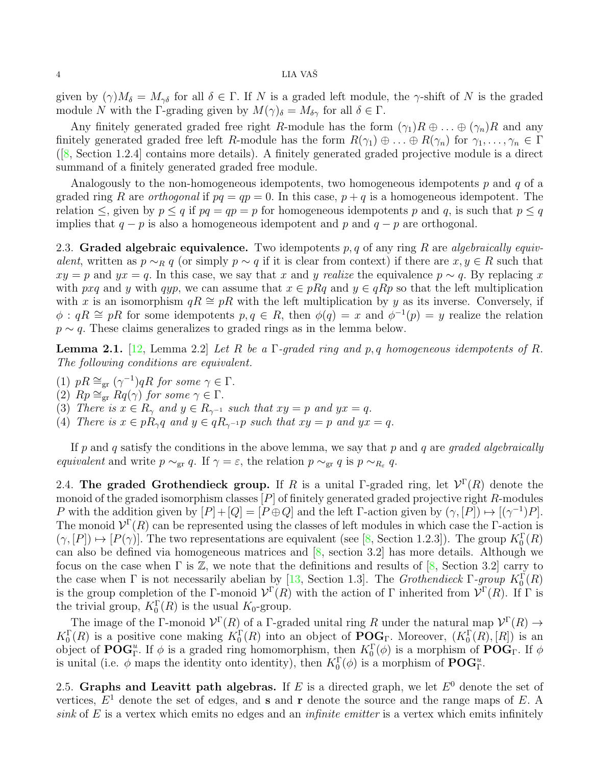#### <span id="page-3-3"></span> $4$  LIA VAŠ

given by  $(\gamma)M_\delta = M_{\gamma\delta}$  for all  $\delta \in \Gamma$ . If N is a graded left module, the  $\gamma$ -shift of N is the graded module N with the Γ-grading given by  $M(\gamma)_{\delta} = M_{\delta\gamma}$  for all  $\delta \in \Gamma$ .

Any finitely generated graded free right R-module has the form  $(\gamma_1)R \oplus \ldots \oplus (\gamma_n)R$  and any finitely generated graded free left R-module has the form  $R(\gamma_1) \oplus ... \oplus R(\gamma_n)$  for  $\gamma_1, ..., \gamma_n \in \Gamma$ ([\[8,](#page-11-6) Section 1.2.4] contains more details). A finitely generated graded projective module is a direct summand of a finitely generated graded free module.

Analogously to the non-homogeneous idempotents, two homogeneous idempotents  $p$  and  $q$  of a graded ring R are *orthogonal* if  $pq = qp = 0$ . In this case,  $p + q$  is a homogeneous idempotent. The relation  $\leq$ , given by  $p \leq q$  if  $pq = qp = p$  for homogeneous idempotents p and q, is such that  $p \leq q$ implies that  $q - p$  is also a homogeneous idempotent and p and  $q - p$  are orthogonal.

2.3. Graded algebraic equivalence. Two idempotents  $p, q$  of any ring R are algebraically equivalent, written as  $p \sim_R q$  (or simply  $p \sim q$  if it is clear from context) if there are  $x, y \in R$  such that  $xy = p$  and  $yx = q$ . In this case, we say that x and y realize the equivalence  $p \sim q$ . By replacing x with pxq and y with qyp, we can assume that  $x \in pRq$  and  $y \in qRp$  so that the left multiplication with x is an isomorphism  $qR \cong pR$  with the left multiplication by y as its inverse. Conversely, if  $\phi: qR \cong pR$  for some idempotents  $p, q \in R$ , then  $\phi(q) = x$  and  $\phi^{-1}(p) = y$  realize the relation  $p \sim q$ . These claims generalizes to graded rings as in the lemma below.

**Lemma 2.1.** [\[12,](#page-11-7) Lemma 2.2] Let R be a  $\Gamma$ -graded ring and p, q homogeneous idempotents of R. The following conditions are equivalent.

- (1)  $pR \cong_{\text{gr}} (\gamma^{-1}) qR$  for some  $\gamma \in \Gamma$ .
- (2)  $Rp \cong_{gr} Rq(\gamma)$  for some  $\gamma \in \Gamma$ .
- (3) There is  $x \in R_{\gamma}$  and  $y \in R_{\gamma^{-1}}$  such that  $xy = p$  and  $yx = q$ .
- <span id="page-3-1"></span>(4) There is  $x \in pR_{\gamma}q$  and  $y \in qR_{\gamma^{-1}}p$  such that  $xy = p$  and  $yx = q$ .

If p and q satisfy the conditions in the above lemma, we say that p and q are graded algebraically equivalent and write  $p \sim_{gr} q$ . If  $\gamma = \varepsilon$ , the relation  $p \sim_{gr} q$  is  $p \sim_{R_{\varepsilon}} q$ .

<span id="page-3-0"></span>2.4. The graded Grothendieck group. If R is a unital  $\Gamma$ -graded ring, let  $\mathcal{V}^{\Gamma}(R)$  denote the monoid of the graded isomorphism classes  $[P]$  of finitely generated graded projective right  $R$ -modules P with the addition given by  $[P]+[Q] = [P \oplus Q]$  and the left Γ-action given by  $(\gamma, [P]) \mapsto [(\gamma^{-1})P]$ . The monoid  $\mathcal{V}^{\Gamma}(R)$  can be represented using the classes of left modules in which case the  $\Gamma$ -action is  $(\gamma, [P]) \mapsto [P(\gamma)]$ . The two representations are equivalent (see [\[8,](#page-11-6) Section 1.2.3]). The group  $K_0^{\Gamma}(R)$ can also be defined via homogeneous matrices and  $[8, \text{ section } 3.2]$  has more details. Although we focus on the case when  $\Gamma$  is  $\mathbb{Z}$ , we note that the definitions and results of [\[8,](#page-11-6) Section 3.2] carry to the case when  $\Gamma$  is not necessarily abelian by [\[13,](#page-11-8) Section 1.3]. The *Grothendieck*  $\Gamma$ -group  $K_0^{\Gamma}(R)$ is the group completion of the Γ-monoid  $\mathcal{V}^{\Gamma}(R)$  with the action of Γ inherited from  $\mathcal{V}^{\Gamma}(R)$ . If Γ is the trivial group,  $K_0^{\Gamma}(R)$  is the usual  $K_0$ -group.

The image of the Γ-monoid  $\mathcal{V}^{\Gamma}(R)$  of a Γ-graded unital ring R under the natural map  $\mathcal{V}^{\Gamma}(R) \to$  $K_0^{\Gamma}(R)$  is a positive cone making  $K_0^{\Gamma}(R)$  into an object of  $\mathbf{POG}_{\Gamma}$ . Moreover,  $(K_0^{\Gamma}(R),[R])$  is an object of  $\mathbf{POG}_{\Gamma}^u$ . If  $\phi$  is a graded ring homomorphism, then  $K_0^{\Gamma}(\phi)$  is a morphism of  $\mathbf{POG}_{\Gamma}$ . If  $\phi$ is unital (i.e.  $\phi$  maps the identity onto identity), then  $K_0^{\Gamma}(\phi)$  is a morphism of  $\mathbf{POG}_{\Gamma}^u$ .

<span id="page-3-2"></span>2.5. Graphs and Leavitt path algebras. If E is a directed graph, we let  $E^0$  denote the set of vertices,  $E^1$  denote the set of edges, and **s** and **r** denote the source and the range maps of E. A sink of  $E$  is a vertex which emits no edges and an *infinite emitter* is a vertex which emits infinitely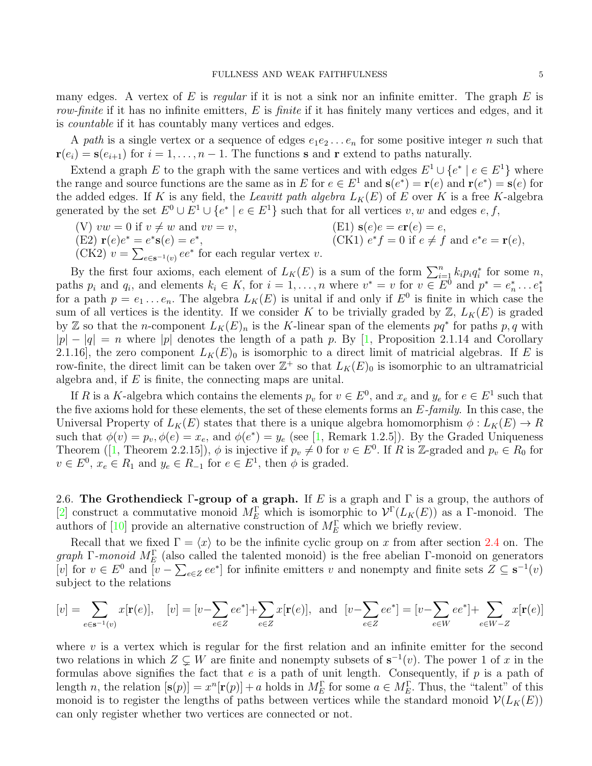<span id="page-4-0"></span>many edges. A vertex of  $E$  is regular if it is not a sink nor an infinite emitter. The graph  $E$  is row-finite if it has no infinite emitters,  $E$  is finite if it has finitely many vertices and edges, and it is countable if it has countably many vertices and edges.

A path is a single vertex or a sequence of edges  $e_1e_2 \ldots e_n$  for some positive integer n such that  $\mathbf{r}(e_i) = \mathbf{s}(e_{i+1})$  for  $i = 1, \ldots, n-1$ . The functions **s** and **r** extend to paths naturally.

Extend a graph E to the graph with the same vertices and with edges  $E^1 \cup \{e^* \mid e \in E^1\}$  where the range and source functions are the same as in E for  $e \in E^1$  and  $s(e^*) = r(e)$  and  $r(e^*) = s(e)$  for the added edges. If K is any field, the Leavitt path algebra  $L_K(E)$  of E over K is a free K-algebra generated by the set  $E^0 \cup E^1 \cup \{e^* \mid e \in E^1\}$  such that for all vertices  $v, w$  and edges  $e, f$ ,

- (V)  $vw = 0$  if  $v \neq w$  and  $vv = v$ , (E1)  $s(e)e = e\mathbf{r}(e) = e$ , (E2)  $\mathbf{r}(e)e^* = e^*\mathbf{s}(e) = e^*$  $(CK1) e^* f = 0$  if  $e \neq f$  and  $e^* e = \mathbf{r}(e)$ ,
- (CK2)  $v = \sum_{e \in \mathbf{s}^{-1}(v)} ee^*$  for each regular vertex  $v$ .

By the first four axioms, each element of  $L_K(E)$  is a sum of the form  $\sum_{i=1}^n k_i p_i q_i^*$  for some n, paths  $p_i$  and  $q_i$ , and elements  $k_i \in K$ , for  $i = 1, ..., n$  where  $v^* = v$  for  $v \in E^{\bar{0}}$  and  $p^* = e_n^* \dots e_1^*$ for a path  $p = e_1 \dots e_n$ . The algebra  $L_K(E)$  is unital if and only if  $E^0$  is finite in which case the sum of all vertices is the identity. If we consider K to be trivially graded by  $\mathbb{Z}, L_K(E)$  is graded by Z so that the n-component  $\tilde{L}_K(E)_n$  is the K-linear span of the elements  $pq^*$  for paths p, q with  $|p| - |q| = n$  where  $|p|$  denotes the length of a path p. By [\[1,](#page-11-1) Proposition 2.1.14 and Corollary 2.1.16], the zero component  $L_K(E)_0$  is isomorphic to a direct limit of matricial algebras. If E is row-finite, the direct limit can be taken over  $\mathbb{Z}^+$  so that  $L_K(E)_0$  is isomorphic to an ultramatricial algebra and, if  $E$  is finite, the connecting maps are unital.

If R is a K-algebra which contains the elements  $p_v$  for  $v \in E^0$ , and  $x_e$  and  $y_e$  for  $e \in E^1$  such that the five axioms hold for these elements, the set of these elements forms an  $E$ -family. In this case, the Universal Property of  $L_K(E)$  states that there is a unique algebra homomorphism  $\phi: L_K(E) \to R$ such that  $\phi(v) = p_v, \phi(e) = x_e$ , and  $\phi(e^*) = y_e$  (see [\[1,](#page-11-1) Remark 1.2.5]). By the Graded Uniqueness Theorem([\[1,](#page-11-1) Theorem 2.2.15]),  $\phi$  is injective if  $p_v \neq 0$  for  $v \in E^0$ . If R is Z-graded and  $p_v \in R_0$  for  $v \in E^0$ ,  $x_e \in R_1$  and  $y_e \in R_{-1}$  for  $e \in E^1$ , then  $\phi$  is graded.

2.6. The Grothendieck Γ-group of a graph. If E is a graph and  $\Gamma$  is a group, the authors of [\[2\]](#page-11-5) construct a commutative monoid  $M_E^{\Gamma}$  which is isomorphic to  $\mathcal{V}^{\Gamma}(L_K(E))$  as a  $\Gamma$ -monoid. The authors of [\[10\]](#page-11-9) provide an alternative construction of  $M_{E}^{\Gamma}$  which we briefly review.

Recall that we fixed  $\Gamma = \langle x \rangle$  to be the infinite cyclic group on x from after section [2.4](#page-3-0) on. The graph Γ-monoid  $M_{E}^{\Gamma}$  (also called the talented monoid) is the free abelian Γ-monoid on generators [v] for  $v \in E^0$  and  $[v - \sum_{e \in Z} ee^*]$  for infinite emitters v and nonempty and finite sets  $Z \subseteq s^{-1}(v)$ subject to the relations

$$
[v] = \sum_{e \in \mathbf{s}^{-1}(v)} x[\mathbf{r}(e)], \quad [v] = [v - \sum_{e \in Z} ee^*] + \sum_{e \in Z} x[\mathbf{r}(e)], \text{ and } [v - \sum_{e \in Z} ee^*] = [v - \sum_{e \in W} ee^*] + \sum_{e \in W - Z} x[\mathbf{r}(e)]
$$

where  $v$  is a vertex which is regular for the first relation and an infinite emitter for the second two relations in which  $Z \subsetneq W$  are finite and nonempty subsets of  $s^{-1}(v)$ . The power 1 of x in the formulas above signifies the fact that  $e$  is a path of unit length. Consequently, if  $p$  is a path of length n, the relation  $[\mathbf{s}(p)] = x^n [\mathbf{r}(p)] + a$  holds in  $M_E^{\Gamma}$  for some  $a \in M_E^{\Gamma}$ . Thus, the "talent" of this monoid is to register the lengths of paths between vertices while the standard monoid  $\mathcal{V}(L_K(E))$ can only register whether two vertices are connected or not.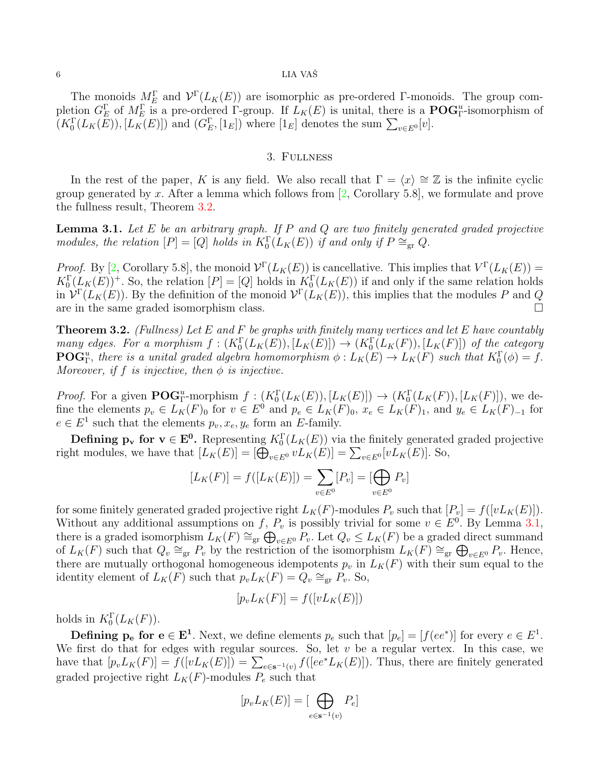# <span id="page-5-2"></span> $6$  LIA VAŠ

The monoids  $M_E^{\Gamma}$  and  $\mathcal{V}^{\Gamma}(L_K(E))$  are isomorphic as pre-ordered Γ-monoids. The group completion  $G_E^{\Gamma}$  of  $M_E^{\Gamma}$  is a pre-ordered  $\Gamma$ -group. If  $L_K(E)$  is unital, there is a  $\mathbf{POG}_{\Gamma}^u$ -isomorphism of  $(K_0^{\Gamma}(L_K(E)), [L_K(E)])$  and  $(G_E^{\Gamma}, [1_E])$  where  $[1_E]$  denotes the sum  $\sum_{v \in E^0} [v]$ .

#### 3. Fullness

In the rest of the paper, K is any field. We also recall that  $\Gamma = \langle x \rangle \cong \mathbb{Z}$  is the infinite cyclic group generated by x. After a lemma which follows from  $[2,$  Corollary 5.8, we formulate and prove the fullness result, Theorem [3.2.](#page-5-1)

<span id="page-5-0"></span>**Lemma 3.1.** Let  $E$  be an arbitrary graph. If  $P$  and  $Q$  are two finitely generated graded projective modules, the relation  $[P] = [Q]$  holds in  $K_0^{\Gamma}(L_K(E))$  if and only if  $P \cong_{gr} Q$ .

*Proof.* By [\[2,](#page-11-5) Corollary 5.8], the monoid  $\mathcal{V}^{\Gamma}(L_K(E))$  is cancellative. This implies that  $V^{\Gamma}(L_K(E))$  =  $K_0^{\Gamma}(\underline{L}_K(E))^+$ . So, the relation  $[P] = [Q]$  holds in  $K_0^{\Gamma}(L_K(E))$  if and only if the same relation holds in  $\mathcal{V}^{\Gamma}(L_K(E))$ . By the definition of the monoid  $\mathcal{V}^{\Gamma}(L_K(E))$ , this implies that the modules P and Q are in the same graded isomorphism class.

<span id="page-5-1"></span>**Theorem 3.2.** (Fullness) Let E and F be graphs with finitely many vertices and let E have countably many edges. For a morphism  $f: (K_0^{\Gamma}(L_K(E)), [L_K(E)]) \to (K_0^{\Gamma}(L_K(F)), [L_K(F)])$  of the category **POG**<sup>u</sup>, there is a unital graded algebra homomorphism  $\phi: L_K(E) \to L_K(F)$  such that  $K_0^{\Gamma}(\phi) = f$ . Moreover, if f is injective, then  $\phi$  is injective.

*Proof.* For a given  $\text{POG}_{\Gamma}^u$ -morphism  $f: (K_0^{\Gamma}(L_K(E)), [L_K(E)]) \to (K_0^{\Gamma}(L_K(F)), [L_K(F)]),$  we define the elements  $p_v \in L_K(F)_0$  for  $v \in E^0$  and  $p_e \in L_K(F)_0$ ,  $x_e \in L_K(F)_1$ , and  $y_e \in L_K(F)_{-1}$  for  $e \in E<sup>1</sup>$  such that the elements  $p_v, x_e, y_e$  form an E-family.

**Defining**  $p_v$  **for**  $v \in E^0$ **.** Representing  $K_0^{\Gamma}(L_K(E))$  via the finitely generated graded projective right modules, we have that  $[L_K(E)] = [\bigoplus_{v \in E^0} v L_K(E)] = \sum_{v \in E^0} [v L_K(E)]$ . So,

$$
[L_K(F)] = f([L_K(E)]) = \sum_{v \in E^0} [P_v] = [\bigoplus_{v \in E^0} P_v]
$$

for some finitely generated graded projective right  $L_K(F)$ -modules  $P_v$  such that  $[P_v] = f([vL_K(E)])$ . Without any additional assumptions on f,  $P_v$  is possibly trivial for some  $v \in E^0$ . By Lemma [3.1,](#page-5-0) there is a graded isomorphism  $L_K(F) \cong_{\text{gr}} \bigoplus_{v \in E^0} P_v$ . Let  $Q_v \le L_K(F)$  be a graded direct summand of  $L_K(F)$  such that  $Q_v \cong_{gr} P_v$  by the restriction of the isomorphism  $L_K(F) \cong_{gr} \bigoplus_{v \in E^0} P_v$ . Hence, there are mutually orthogonal homogeneous idempotents  $p_v$  in  $L_K(F)$  with their sum equal to the identity element of  $L_K(F)$  such that  $p_v L_K(F) = Q_v \cong_{gr} P_v$ . So,

$$
[p_v L_K(F)] = f([v L_K(E)])
$$

holds in  $K_0^{\Gamma}(L_K(F))$ .

**Defining**  $p_e$  **for**  $e \in E^1$ . Next, we define elements  $p_e$  such that  $[p_e] = [f(ee^*)]$  for every  $e \in E^1$ . We first do that for edges with regular sources. So, let  $v$  be a regular vertex. In this case, we have that  $[p_v L_K(F)] = f([v L_K(E)]) = \sum_{e \in s^{-1}(v)} f([ee^* L_K(E)])$ . Thus, there are finitely generated graded projective right  $L_K(F)$ -modules  $P_e$  such that

$$
[p_v L_K(E)] = [\bigoplus_{e \in \mathbf{s}^{-1}(v)} P_e]
$$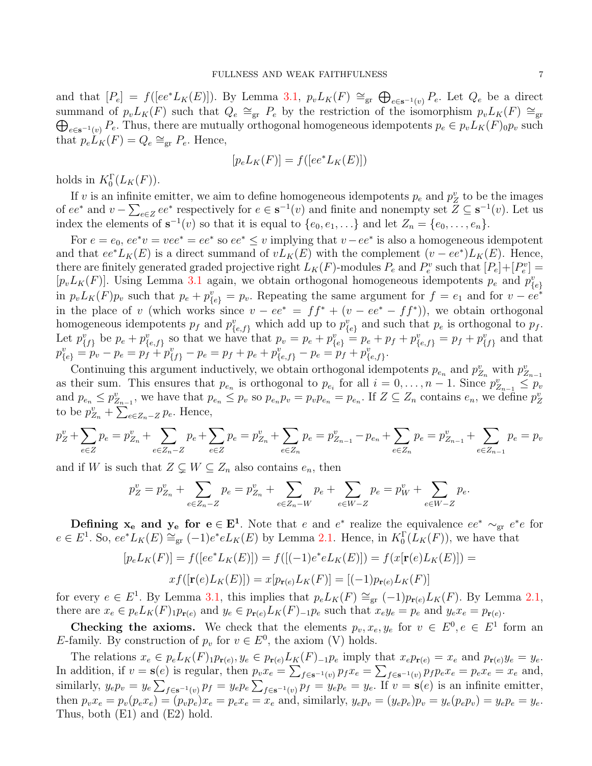and that  $[P_e] = f([ee^*L_K(E)])$ . By Lemma [3.1,](#page-5-0)  $p_vL_K(F) \cong_{gr} \bigoplus_{e \in s^{-1}(v)} P_e$ . Let  $Q_e$  be a direct summand of  $p_v L_K(F)$  such that  $Q_e \cong_{gr} P_e$  by the restriction of the isomorphism  $p_v L_K(F) \cong_{gr}$  $\bigoplus_{e\in s^{-1}(v)} P_e$ . Thus, there are mutually orthogonal homogeneous idempotents  $p_e \in p_v L_K(F)$ <sub>0</sub> $p_v$  such that  $p_e L_K(F) = Q_e \cong_{gr} P_e$ . Hence,

$$
[p_e L_K(F)] = f([ee^* L_K(E)])
$$

holds in  $K_0^{\Gamma}(L_K(F))$ .

If v is an infinite emitter, we aim to define homogeneous idempotents  $p_e$  and  $p_Z^v$  to be the images of  $ee^*$  and  $v - \sum_{e \in Z} ee^*$  respectively for  $e \in \mathbf{s}^{-1}(v)$  and finite and nonempty set  $Z \subseteq \mathbf{s}^{-1}(v)$ . Let us index the elements of  $\mathbf{s}^{-1}(v)$  so that it is equal to  $\{e_0, e_1, \ldots\}$  and let  $Z_n = \{e_0, \ldots, e_n\}.$ 

For  $e = e_0$ ,  $ee^*v = vee^* = ee^*$  so  $ee^* \le v$  implying that  $v - ee^*$  is also a homogeneous idempotent and that  $ee^*L_K(E)$  is a direct summand of  $vL_K(E)$  with the complement  $(v - ee^*)L_K(E)$ . Hence, there are finitely generated graded projective right  $L_K(F)$ -modules  $P_e$  and  $P_e^v$  such that  $[P_e] + [P_e^v] =$  $[p_v L_K(F)]$ . Using Lemma [3.1](#page-5-0) again, we obtain orthogonal homogeneous idempotents  $p_e$  and  $p_{\{e\}}^v$ in  $p_v L_K(F) p_v$  such that  $p_e + p_{\{e\}}^v = p_v$ . Repeating the same argument for  $f = e_1$  and for  $v - ee^*$ in the place of v (which works since  $v - ee^* = ff^* + (v - ee^* - ff^*)$ ), we obtain orthogonal homogeneous idempotents  $p_f$  and  $p_{\{e,f\}}^v$  which add up to  $p_{\{e\}}^v$  and such that  $p_e$  is orthogonal to  $p_f$ . Let  $p_{\{f\}}^v$  be  $p_e + p_{\{e,f\}}^v$  so that we have that  $p_v = p_e + p_{\{e\}}^v = p_e + p_f + p_{\{e,f\}}^v = p_f + p_{\{f\}}^v$  and that  $p_{\{e\}}^v = p_v - p_e = p_f + p_{\{f\}}^v - p_e = p_f + p_e + p_{\{e,f\}}^v - p_e = p_f + p_{\{e,f\}}^v.$ 

Continuing this argument inductively, we obtain orthogonal idempotents  $p_{e_n}$  and  $p_{Z_n}^v$  with  $p_{Z_{n-1}}^v$ as their sum. This ensures that  $p_{e_n}$  is orthogonal to  $p_{e_i}$  for all  $i = 0, \ldots, n-1$ . Since  $p_{Z_{n-1}}^v \leq p_v$ and  $p_{e_n} \leq p_{Z_{n-1}}^v$ , we have that  $p_{e_n} \leq p_v$  so  $p_{e_n} p_v = p_v p_{e_n} = p_{e_n}$ . If  $Z \subseteq Z_n$  contains  $e_n$ , we define  $p_Z^v$ to be  $p_{Z_n}^v + \sum_{e \in Z_n - Z} p_e$ . Hence,

$$
p_Z^v + \sum_{e \in Z} p_e = p_{Z_n}^v + \sum_{e \in Z_n - Z} p_e + \sum_{e \in Z} p_e = p_{Z_n}^v + \sum_{e \in Z_n} p_e = p_{Z_{n-1}}^v - p_{e_n} + \sum_{e \in Z_n} p_e = p_{Z_{n-1}}^v + \sum_{e \in Z_{n-1}} p_e = p_v
$$

and if W is such that  $Z \subsetneq W \subseteq Z_n$  also contains  $e_n$ , then

$$
p_Z^v = p_{Z_n}^v + \sum_{e \in Z_n - Z} p_e = p_{Z_n}^v + \sum_{e \in Z_n - W} p_e + \sum_{e \in W - Z} p_e = p_W^v + \sum_{e \in W - Z} p_e.
$$

**Defining**  $x_e$  **and**  $y_e$  **for**  $e \in E^1$ . Note that e and e<sup>\*</sup> realize the equivalence  $ee^* \sim_{gr} e^*e$  for  $e \in E^1$ . So,  $ee^*L_K(E) \cong_{gr} (-1)e^*eL_K(E)$  by Lemma [2.1.](#page-3-1) Hence, in  $K_0^{\Gamma}(L_K(F))$ , we have that

$$
[p_e L_K(F)] = f([ee^* L_K(E)]) = f([(-1)e^* e L_K(E)]) = f(x[\mathbf{r}(e)L_K(E)]) = x f([\mathbf{r}(e)L_K(E)]) = x[p_{\mathbf{r}(e)} L_K(F)] = [(-1)p_{\mathbf{r}(e)} L_K(F)]
$$

for every  $e \in E^1$ . By Lemma [3.1,](#page-5-0) this implies that  $p_e L_K(F) \cong_{gr} (-1) p_{r(e)} L_K(F)$ . By Lemma [2.1,](#page-3-1) there are  $x_e \in p_e L_K(F) \cdot p_{\mathbf{r}(e)}$  and  $y_e \in p_{\mathbf{r}(e)} L_K(F) \cdot p_e$  such that  $x_e y_e = p_e$  and  $y_e x_e = p_{\mathbf{r}(e)}$ .

**Checking the axioms.** We check that the elements  $p_v, x_e, y_e$  for  $v \in E^0, e \in E^1$  form an E-family. By construction of  $p_v$  for  $v \in E^0$ , the axiom (V) holds.

The relations  $x_e \in p_e L_K(F) \cdot p_{\mathbf{r}(e)}, y_e \in p_{\mathbf{r}(e)} L_K(F) \cdot p_e$  imply that  $x_e p_{\mathbf{r}(e)} = x_e$  and  $p_{\mathbf{r}(e)} y_e = y_e$ . In addition, if  $v = s(e)$  is regular, then  $p_v x_e = \sum_{f \in s^{-1}(v)} p_f x_e = \sum_{f \in s^{-1}(v)} p_f p_e x_e = p_e x_e = x_e$  and, similarly,  $y_e p_v = y_e \sum_{f \in \mathbf{s}^{-1}(v)} p_f = y_e p_e \sum_{f \in \mathbf{s}^{-1}(v)} p_f = y_e p_e = y_e$ . If  $v = \mathbf{s}(e)$  is an infinite emitter, then  $p_v x_e = p_v(p_e x_e) = (p_v p_e) x_e = p_e x_e = x_e$  and, similarly,  $y_e p_v = (y_e p_e) p_v = y_e(p_e p_v) = y_e p_e = y_e$ . Thus, both (E1) and (E2) hold.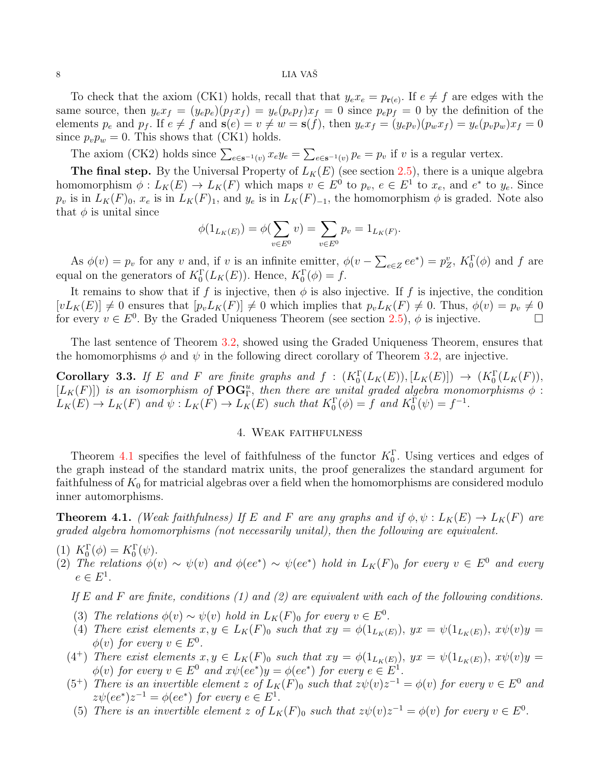# $8$  LIA VAŠ

To check that the axiom (CK1) holds, recall that that  $y_e x_e = p_{r(e)}$ . If  $e \neq f$  are edges with the same source, then  $y_e x_f = (y_e p_e)(p_f x_f) = y_e (p_e p_f) x_f = 0$  since  $p_e p_f = 0$  by the definition of the elements  $p_e$  and  $p_f$ . If  $e \neq f$  and  $\mathbf{s}(e) = v \neq w = \mathbf{s}(f)$ , then  $y_e x_f = (y_e p_v)(p_w x_f) = y_e(p_v p_w)x_f = 0$ since  $p_v p_w = 0$ . This shows that (CK1) holds.

The axiom (CK2) holds since  $\sum_{e \in \mathbf{s}^{-1}(v)} x_e y_e = \sum_{e \in \mathbf{s}^{-1}(v)} p_e = p_v$  if v is a regular vertex.

The final step. By the Universal Property of  $L_K(E)$  (see section [2.5\)](#page-3-2), there is a unique algebra homomorphism  $\phi: L_K(E) \to L_K(F)$  which maps  $v \in E^0$  to  $p_v, e \in E^1$  to  $x_e$ , and  $e^*$  to  $y_e$ . Since  $p_v$  is in  $L_K(F)_0$ ,  $x_e$  is in  $L_K(F)_1$ , and  $y_e$  is in  $L_K(F)_{-1}$ , the homomorphism  $\phi$  is graded. Note also that  $\phi$  is unital since

$$
\phi(1_{L_K(E)}) = \phi(\sum_{v \in E^0} v) = \sum_{v \in E^0} p_v = 1_{L_K(F)}.
$$

As  $\phi(v) = p_v$  for any v and, if v is an infinite emitter,  $\phi(v - \sum_{e \in Z} ee^*) = p_Z^v$ ,  $K_0^{\Gamma}(\phi)$  and f are equal on the generators of  $K_0^{\Gamma}(L_K(E))$ . Hence,  $K_0^{\Gamma}(\phi) = f$ .

It remains to show that if f is injective, then  $\phi$  is also injective. If f is injective, the condition  $[vL_K(E)] \neq 0$  ensures that  $[p_vL_K(F)] \neq 0$  which implies that  $p_vL_K(F) \neq 0$ . Thus,  $\phi(v) = p_v \neq 0$ for every  $v \in E^0$ . By the Graded Uniqueness Theorem (see section [2.5\)](#page-3-2),  $\phi$  is injective.

The last sentence of Theorem [3.2,](#page-5-1) showed using the Graded Uniqueness Theorem, ensures that the homomorphisms  $\phi$  and  $\psi$  in the following direct corollary of Theorem [3.2,](#page-5-1) are injective.

<span id="page-7-0"></span>**Corollary 3.3.** If E and F are finite graphs and  $f : (K_0^{\Gamma}(L_K(E)), [L_K(E)]) \rightarrow (K_0^{\Gamma}(L_K(F)),$  $[L_K(F)]$ ) is an isomorphism of  $\mathbf{POG}_\Gamma^u$ , then there are unital graded algebra monomorphisms  $\phi$ :  $L_K(E) \to L_K(F)$  and  $\psi: L_K(F) \to L_K(E)$  such that  $K_0(\phi) = f$  and  $K_0(\psi) = f^{-1}$ .

# 4. Weak faithfulness

<span id="page-7-1"></span>Theorem [4.1](#page-7-2) specifies the level of faithfulness of the functor  $K_0^{\Gamma}$ . Using vertices and edges of the graph instead of the standard matrix units, the proof generalizes the standard argument for faithfulness of  $K_0$  for matricial algebras over a field when the homomorphisms are considered modulo inner automorphisms.

**Theorem 4.1.** (Weak faithfulness) If E and F are any graphs and if  $\phi, \psi : L_K(E) \to L_K(F)$  are graded algebra homomorphisms (not necessarily unital), then the following are equivalent.

(1) 
$$
K_0^{\Gamma}(\phi) = K_0^{\Gamma}(\psi)
$$
.

<span id="page-7-2"></span>(1)  $\Lambda_0(\varphi) = \Lambda_0(\varphi)$ .<br>
(2) The relations  $\phi(v) \sim \psi(v)$  and  $\phi(ee^*) \sim \psi(ee^*)$  hold in  $L_K(F)_0$  for every  $v \in E^0$  and every  $e \in E^1$ .

If E and F are finite, conditions  $(1)$  and  $(2)$  are equivalent with each of the following conditions.

- (3) The relations  $\phi(v) \sim \psi(v)$  hold in  $L_K(F)_0$  for every  $v \in E^0$ .
- (4) There exist elements  $x, y \in L_K(F)$  such that  $xy = \phi(1_{L_K(E)})$ ,  $yx = \psi(1_{L_K(E)})$ ,  $x\psi(v)y =$  $\phi(v)$  for every  $v \in E^0$ .
- (4<sup>+</sup>) There exist elements  $x, y \in L_K(F)$  such that  $xy = \phi(1_{L_K(E)})$ ,  $yx = \psi(1_{L_K(E)})$ ,  $x\psi(v)y =$  $\phi(v)$  for every  $v \in E^0$  and  $x\psi(ee^*)y = \phi(ee^*)$  for every  $e \in E^1$ .
- (5<sup>+</sup>) There is an invertible element z of  $L_K(F)$  such that  $z\psi(v)z^{-1} = \phi(v)$  for every  $v \in E^0$  and  $z\psi(ee^*)z^{-1} = \phi(ee^*)$  for every  $e \in E^1$ .
	- (5) There is an invertible element z of  $L_K(F)_0$  such that  $z\psi(v)z^{-1} = \phi(v)$  for every  $v \in E^0$ .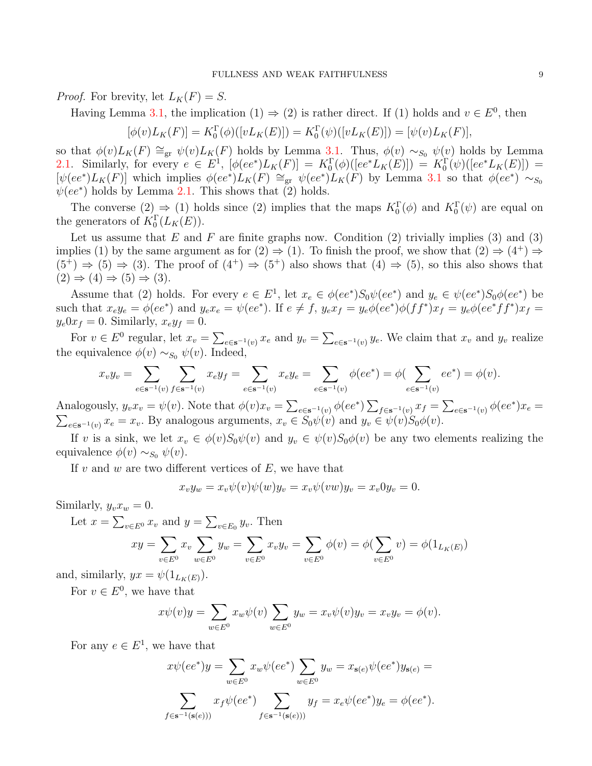*Proof.* For brevity, let  $L_K(F) = S$ .

Having Lemma [3.1,](#page-5-0) the implication  $(1) \Rightarrow (2)$  is rather direct. If  $(1)$  holds and  $v \in E^0$ , then

 $[\phi(v)L_K(F)] = K_0^{\Gamma}(\phi)([vL_K(E)]) = K_0^{\Gamma}(\psi)([vL_K(E)]) = [\psi(v)L_K(F)],$ 

so that  $\phi(v)L_K(F) \cong_{gr} \psi(v)L_K(F)$  holds by Lemma [3.1.](#page-5-0) Thus,  $\phi(v) \sim_{S_0} \psi(v)$  holds by Lemma [2.1.](#page-3-1) Similarly, for every  $e \in E^1$ ,  $[\phi(ee^*)L_K(F)] = K_0^{\Gamma}(\phi)([ee^*L_K(E)]) = K_0^{\Gamma}(\psi)([ee^*L_K(E)]) =$  $[\psi(ee^*)L_K(F)]$  which implies  $\phi(ee^*)L_K(F) \cong_{gr} \psi(ee^*)L_K(F)$  by Lemma [3.1](#page-5-0) so that  $\phi(ee^*) \sim_{S_0}$  $\psi(ee^*)$  holds by Lemma [2.1.](#page-3-1) This shows that (2) holds.

The converse  $(2) \Rightarrow (1)$  holds since  $(2)$  implies that the maps  $K_0^{\Gamma}(\phi)$  and  $K_0^{\Gamma}(\psi)$  are equal on the generators of  $K_0^{\Gamma}(L_K(E)).$ 

Let us assume that E and F are finite graphs now. Condition  $(2)$  trivially implies  $(3)$  and  $(3)$ implies (1) by the same argument as for  $(2) \Rightarrow (1)$ . To finish the proof, we show that  $(2) \Rightarrow (4^+) \Rightarrow$  $(5^+) \Rightarrow (5) \Rightarrow (3)$ . The proof of  $(4^+) \Rightarrow (5^+)$  also shows that  $(4) \Rightarrow (5)$ , so this also shows that  $(2) \Rightarrow (4) \Rightarrow (5) \Rightarrow (3)$ .

Assume that (2) holds. For every  $e \in E^1$ , let  $x_e \in \phi(ee^*)S_0\psi(ee^*)$  and  $y_e \in \psi(ee^*)S_0\phi(ee^*)$  be such that  $x_e y_e = \phi(ee^*)$  and  $y_e x_e = \psi(ee^*)$ . If  $e \neq f$ ,  $y_e x_f = y_e \phi(ee^*) \phi(f f^*) x_f = y_e \phi(ee^* f f^*) x_f =$  $y_e0x_f = 0$ . Similarly,  $x_e y_f = 0$ .

For  $v \in E^0$  regular, let  $x_v = \sum_{e \in \mathbf{s}^{-1}(v)} x_e$  and  $y_v = \sum_{e \in \mathbf{s}^{-1}(v)} y_e$ . We claim that  $x_v$  and  $y_v$  realize the equivalence  $\phi(v) \sim_{S_0} \psi(v)$ . Indeed,

$$
x_v y_v = \sum_{e \in \mathbf{s}^{-1}(v)} \sum_{f \in \mathbf{s}^{-1}(v)} x_e y_f = \sum_{e \in \mathbf{s}^{-1}(v)} x_e y_e = \sum_{e \in \mathbf{s}^{-1}(v)} \phi(ee^*) = \phi(\sum_{e \in \mathbf{s}^{-1}(v)} ee^*) = \phi(v).
$$

Analogously,  $y_v x_v = \psi(v)$ . Note that  $\phi(v) x_v = \sum_{e \in \mathbf{s}^{-1}(v)} \phi(ee^*) \sum_{f \in \mathbf{s}^{-1}(v)} x_f = \sum_{e \in \mathbf{s}^{-1}(v)} \phi(ee^*) x_e =$  $\sum_{e \in \mathbf{s}^{-1}(v)} x_e = x_v$ . By analogous arguments,  $x_v \in S_0 \psi(v)$  and  $y_v \in \psi(v) S_0 \phi(v)$ .

If v is a sink, we let  $x_v \in \phi(v)S_0\psi(v)$  and  $y_v \in \psi(v)S_0\phi(v)$  be any two elements realizing the equivalence  $\phi(v) \sim_{S_0} \psi(v)$ .

If  $v$  and  $w$  are two different vertices of  $E$ , we have that

$$
x_v y_w = x_v \psi(v) \psi(w) y_v = x_v \psi(vw) y_v = x_v 0 y_v = 0.
$$

Similarly,  $y_v x_w = 0$ .

Let  $x = \sum_{v \in E^0} x_v$  and  $y = \sum_{v \in E_0} y_v$ . Then

$$
xy = \sum_{v \in E^0} x_v \sum_{w \in E^0} y_w = \sum_{v \in E^0} x_v y_v = \sum_{v \in E^0} \phi(v) = \phi(\sum_{v \in E^0} v) = \phi(1_{L_K(E)})
$$

and, similarly,  $yx = \psi(1_{L_K(E)})$ .

For  $v \in E^0$ , we have that

$$
x\psi(v)y = \sum_{w \in E^0} x_w \psi(v) \sum_{w \in E^0} y_w = x_v \psi(v) y_v = x_v y_v = \phi(v).
$$

For any  $e \in E^1$ , we have that

$$
x\psi(ee^*)y = \sum_{w \in E^0} x_w \psi(ee^*) \sum_{w \in E^0} y_w = x_{s(e)} \psi(ee^*)y_{s(e)} =
$$
  

$$
\sum_{f \in s^{-1}(s(e)))} x_f \psi(ee^*) \sum_{f \in s^{-1}(s(e)))} y_f = x_e \psi(ee^*)y_e = \phi(ee^*).
$$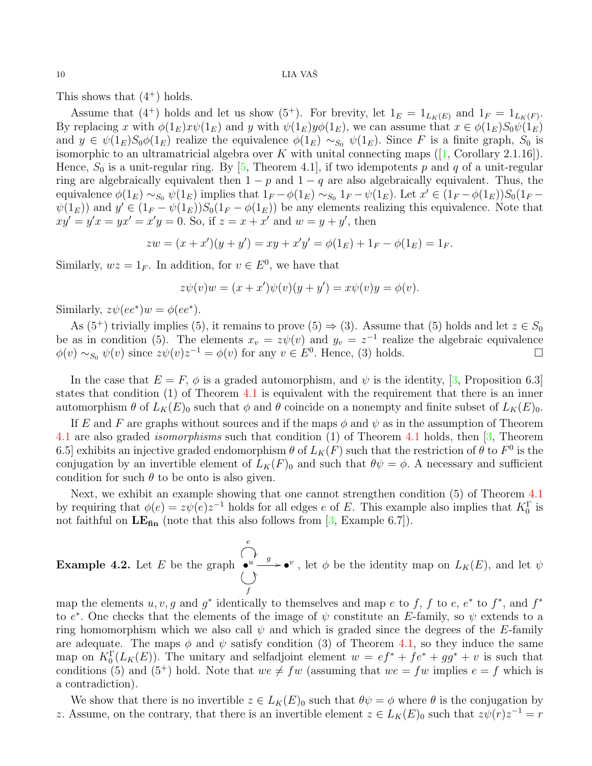<span id="page-9-1"></span>This shows that  $(4^+)$  holds.

Assume that (4<sup>+</sup>) holds and let us show (5<sup>+</sup>). For brevity, let  $1_E = 1_{L_K(E)}$  and  $1_F = 1_{L_K(F)}$ . By replacing x with  $\phi(1_E)x\psi(1_E)$  and y with  $\psi(1_E)y\phi(1_E)$ , we can assume that  $x \in \phi(1_E)S_0\psi(1_E)$ and  $y \in \psi(1_E)S_0\phi(1_E)$  realize the equivalence  $\phi(1_E) \sim_{S_0} \psi(1_E)$ . Since F is a finite graph,  $S_0$  is isomorphicto an ultramatricial algebra over K with unital connecting maps  $([1, Corollary 2.1.16]).$  $([1, Corollary 2.1.16]).$  $([1, Corollary 2.1.16]).$ Hence,  $S_0$  is a unit-regular ring. By [\[5,](#page-11-10) Theorem 4.1], if two idempotents p and q of a unit-regular ring are algebraically equivalent then  $1 - p$  and  $1 - q$  are also algebraically equivalent. Thus, the equivalence  $\phi(1_E) \sim_{S_0} \psi(1_E)$  implies that  $1_F - \phi(1_E) \sim_{S_0} 1_F - \psi(1_E)$ . Let  $x' \in (1_F - \phi(1_E))S_0(1_F \psi(1_E)$  and  $y' \in (1_F - \psi(1_E))S_0(1_F - \phi(1_E))$  be any elements realizing this equivalence. Note that  $xy' = y'x = yx' = x'y = 0.$  So, if  $z = x + x'$  and  $w = y + y'$ , then

$$
zw = (x + x')(y + y') = xy + x'y' = \phi(1_E) + 1_F - \phi(1_E) = 1_F.
$$

Similarly,  $wz = 1<sub>F</sub>$ . In addition, for  $v \in E<sup>0</sup>$ , we have that

$$
z\psi(v)w = (x+x')\psi(v)(y+y') = x\psi(v)y = \phi(v).
$$

Similarly,  $z\psi(ee^*)w = \phi(ee^*)$ .

As (5<sup>+</sup>) trivially implies (5), it remains to prove (5)  $\Rightarrow$  (3). Assume that (5) holds and let  $z \in S_0$ be as in condition (5). The elements  $x_v = z\psi(v)$  and  $y_v = z^{-1}$  realize the algebraic equivalence  $\phi(v) \sim_{S_0} \psi(v)$  since  $z\psi(v)z^{-1} = \phi(v)$  for any  $v \in E^0$ . Hence, (3) holds.

In the case that  $E = F$ ,  $\phi$  is a graded automorphism, and  $\psi$  is the identity, [\[3,](#page-11-2) Proposition 6.3] states that condition (1) of Theorem [4.1](#page-7-2) is equivalent with the requirement that there is an inner automorphism  $\theta$  of  $L_K(E)_0$  such that  $\phi$  and  $\theta$  coincide on a nonempty and finite subset of  $L_K(E)_0$ .

If E and F are graphs without sources and if the maps  $\phi$  and  $\psi$  as in the assumption of Theorem [4.1](#page-7-2) are also graded isomorphisms such that condition (1) of Theorem [4.1](#page-7-2) holds, then [\[3,](#page-11-2) Theorem 6.5] exhibits an injective graded endomorphism  $\theta$  of  $L_K(F)$  such that the restriction of  $\theta$  to  $F^0$  is the conjugation by an invertible element of  $L_K(F)_0$  and such that  $\theta \psi = \phi$ . A necessary and sufficient condition for such  $\theta$  to be onto is also given.

Next, we exhibit an example showing that one cannot strengthen condition (5) of Theorem [4.1](#page-7-2) by requiring that  $\phi(e) = z\psi(e)z^{-1}$  holds for all edges e of E. This example also implies that  $K_0^{\Gamma}$  is not faithful on  $LE<sub>fin</sub>$  (note that this also follows from [\[3,](#page-11-2) Example 6.7]).

<span id="page-9-0"></span>**Example 4.2.** Let E be the graph  $\bullet^u$ e J f Y  $\overset{g}{\longrightarrow} \bullet^v$ , let  $\phi$  be the identity map on  $L_K(E)$ , and let  $\psi$ 

map the elements  $u, v, g$  and  $g^*$  identically to themselves and map e to f, f to e, e<sup>\*</sup> to f<sup>\*</sup>, and f<sup>\*</sup> to  $e^*$ . One checks that the elements of the image of  $\psi$  constitute an E-family, so  $\psi$  extends to a ring homomorphism which we also call  $\psi$  and which is graded since the degrees of the E-family are adequate. The maps  $\phi$  and  $\psi$  satisfy condition (3) of Theorem [4.1,](#page-7-2) so they induce the same map on  $K_0^{\Gamma}(L_K(E))$ . The unitary and selfadjoint element  $w = ef^* + fe^* + gg^* + v$  is such that conditions (5) and (5<sup>+</sup>) hold. Note that  $we \neq fw$  (assuming that  $we = fw$  implies  $e = f$  which is a contradiction).

We show that there is no invertible  $z \in L_K(E)_0$  such that  $\theta \psi = \phi$  where  $\theta$  is the conjugation by z. Assume, on the contrary, that there is an invertible element  $z \in L_K(E)_0$  such that  $z\psi(r)z^{-1} = r$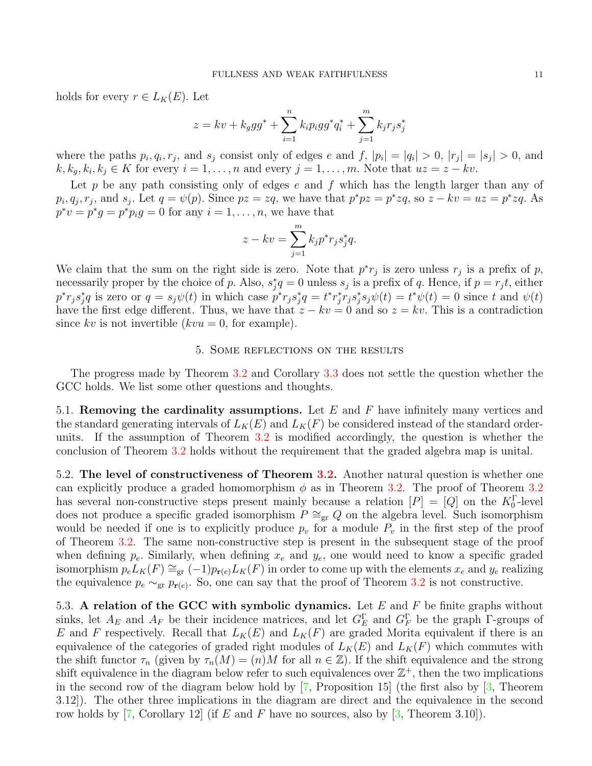<span id="page-10-1"></span>holds for every  $r \in L_K(E)$ . Let

$$
z = kv + k_{g}gg^{*} + \sum_{i=1}^{n} k_{i}p_{i}gg^{*}q_{i}^{*} + \sum_{j=1}^{m} k_{j}r_{j}s_{j}^{*}
$$

where the paths  $p_i, q_i, r_j$ , and  $s_j$  consist only of edges e and f,  $|p_i| = |q_i| > 0$ ,  $|r_j| = |s_j| > 0$ , and  $k, k_g, k_i, k_j \in K$  for every  $i = 1, \ldots, n$  and every  $j = 1, \ldots, m$ . Note that  $uz = z - kv$ .

Let p be any path consisting only of edges  $e$  and  $f$  which has the length larger than any of  $p_i, q_j, r_j$ , and  $s_j$ . Let  $q = \psi(p)$ . Since  $pz = zq$ , we have that  $p^*pz = p^*zq$ , so  $z - kv = uz = p^*zq$ . As  $p^*v = p^*g = p^*p_ig = 0$  for any  $i = 1, \ldots, n$ , we have that

$$
z - kv = \sum_{j=1}^{m} k_j p^* r_j s_j^* q.
$$

We claim that the sum on the right side is zero. Note that  $p^*r_j$  is zero unless  $r_j$  is a prefix of p, necessarily proper by the choice of p. Also,  $s_j^*q = 0$  unless  $s_j$  is a prefix of q. Hence, if  $p = r_j t$ , either  $p^*r_js_j^*q$  is zero or  $q = s_j\psi(t)$  in which case  $p^*r_js_j^*q = t^*r_j^*r_js_j^*s_j\psi(t) = t^*\psi(t) = 0$  since t and  $\psi(t)$ have the first edge different. Thus, we have that  $z - kv = 0$  and so  $z = kv$ . This is a contradiction since kv is not invertible  $(kvu = 0, \text{ for example}).$ 

# 5. Some reflections on the results

The progress made by Theorem [3.2](#page-5-1) and Corollary [3.3](#page-7-0) does not settle the question whether the GCC holds. We list some other questions and thoughts.

5.1. Removing the cardinality assumptions. Let E and F have infinitely many vertices and the standard generating intervals of  $L_K(E)$  and  $L_K(F)$  be considered instead of the standard orderunits. If the assumption of Theorem [3.2](#page-5-1) is modified accordingly, the question is whether the conclusion of Theorem [3.2](#page-5-1) holds without the requirement that the graded algebra map is unital.

<span id="page-10-0"></span>5.2. The level of constructiveness of Theorem [3.2.](#page-5-1) Another natural question is whether one can explicitly produce a graded homomorphism  $\phi$  as in Theorem [3.2.](#page-5-1) The proof of Theorem [3.2](#page-5-1) has several non-constructive steps present mainly because a relation  $[P] = [Q]$  on the  $K_0^{\Gamma}$ -level does not produce a specific graded isomorphism  $P \cong_{gr} Q$  on the algebra level. Such isomorphism would be needed if one is to explicitly produce  $p_v$  for a module  $P_v$  in the first step of the proof of Theorem [3.2.](#page-5-1) The same non-constructive step is present in the subsequent stage of the proof when defining  $p_e$ . Similarly, when defining  $x_e$  and  $y_e$ , one would need to know a specific graded isomorphism  $p_e L_K(F) \cong_{gr} (-1) p_{r(e)} L_K(F)$  in order to come up with the elements  $x_e$  and  $y_e$  realizing the equivalence  $p_e \sim_{gr} p_{r(e)}$ . So, one can say that the proof of Theorem [3.2](#page-5-1) is not constructive.

5.3. A relation of the GCC with symbolic dynamics. Let  $E$  and  $F$  be finite graphs without sinks, let  $A_E$  and  $A_F$  be their incidence matrices, and let  $G_F^{\Gamma}$  and  $G_F^{\Gamma}$  be the graph  $\Gamma$ -groups of E and F respectively. Recall that  $L_K(E)$  and  $L_K(F)$  are graded Morita equivalent if there is an equivalence of the categories of graded right modules of  $L_K(E)$  and  $L_K(F)$  which commutes with the shift functor  $\tau_n$  (given by  $\tau_n(M) = (n)M$  for all  $n \in \mathbb{Z}$ ). If the shift equivalence and the strong shift equivalence in the diagram below refer to such equivalences over  $\mathbb{Z}^+$ , then the two implications in the second row of the diagram below hold by  $[7,$  Proposition 15 (the first also by  $[3,$  Theorem 3.12]). The other three implications in the diagram are direct and the equivalence in the second row holds by  $[7,$  Corollary 12 (if E and F have no sources, also by  $[3,$  Theorem 3.10).